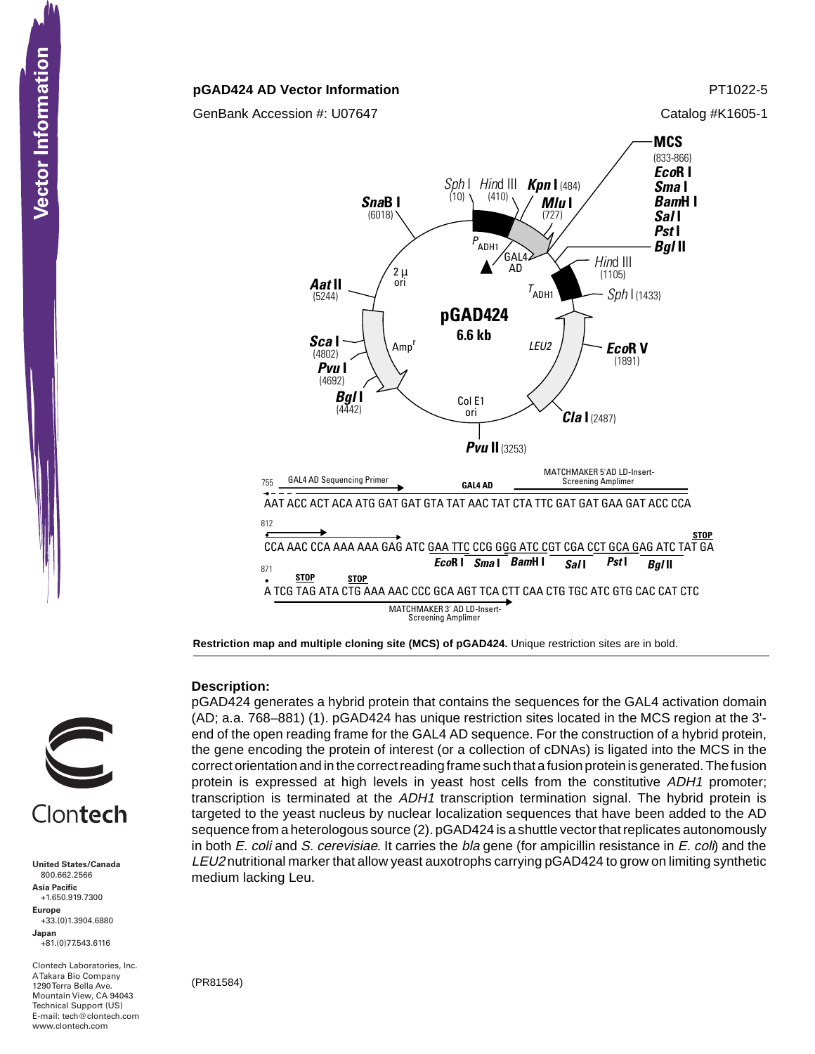### **pGAD424 AD Vector Information PT1022-5**

GenBank Accession #: U07647 Catalog #K1605-1



**Restriction map and multiple cloning site (MCS) of pGAD424.** Unique restriction sites are in bold.

# **CONTECTS**<br>
United States/Cana<br>
800.662.2566<br>
Asia Pacific<br>
+1.650.919.7300<br>
Happe Europe<br>
+33.(0)1.3904.688<br>
Japan<br>
-81.(0)77.543.6116<br>
A Takara Bio Compa<br>
Mountain View, CA<br>
Hechnical Support (<br>
Hechnical Support (<br>
Hech Clontech

**United States/Canada** 800.662.2566 **Asia Pacific** +1.650.919.7300 **Europe** +33.(0)1.3904.6880 **Japan** +81.(0)77.543.6116

Clontech Laboratories, Inc. A Takara Bio Company 1290 Terra Bella Ave. Mountain View, CA 94043 Technical Support (US) E-mail: tech@clontech.com<br>www.clontech.com **Description:**

pGAD424 generates a hybrid protein that contains the sequences for the GAL4 activation domain (AD; a.a. 768–881) (1). pGAD424 has unique restriction sites located in the MCS region at the 3' end of the open reading frame for the GAL4 AD sequence. For the construction of a hybrid protein, the gene encoding the protein of interest (or a collection of cDNAs) is ligated into the MCS in the correct orientation and in the correct reading frame such that a fusion protein is generated. The fusion protein is expressed at high levels in yeast host cells from the constitutive ADH1 promoter; transcription is terminated at the ADH1 transcription termination signal. The hybrid protein is targeted to the yeast nucleus by nuclear localization sequences that have been added to the AD sequence from a heterologous source (2). pGAD424 is a shuttle vector that replicates autonomously in both  $E$ . coli and S. cerevisiae. It carries the bla gene (for ampicillin resistance in  $E$ . coli) and the LEU2 nutritional marker that allow yeast auxotrophs carrying pGAD424 to grow on limiting synthetic medium lacking Leu.

(PR81584)

## **Vector Information**